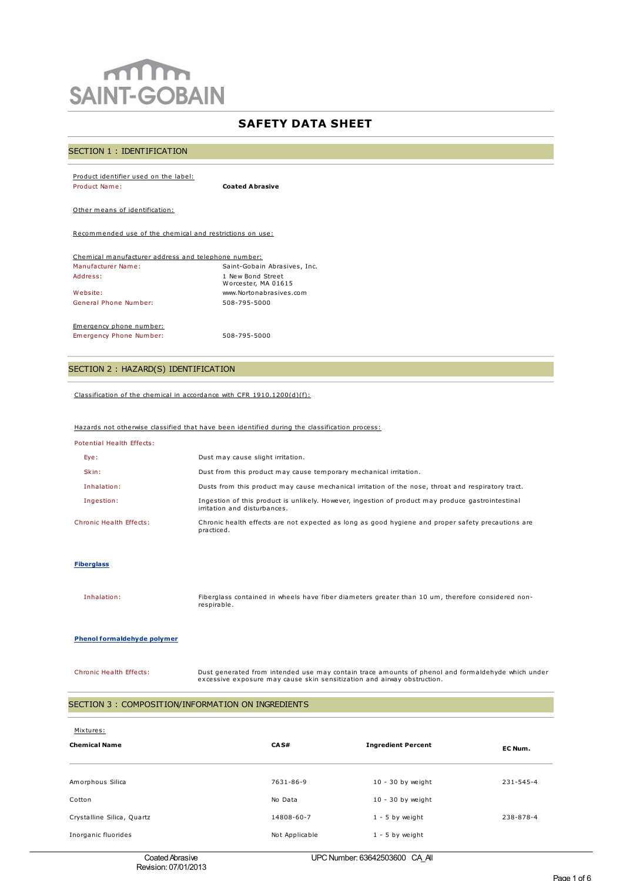# $m$ **SAINT-GOBAIN**

## **SAFETY DATA SHEET**

## SECTION 1 : IDENTIFICATION

| Product identifier used on the label:                    |                        |  |  |
|----------------------------------------------------------|------------------------|--|--|
| Product Name:                                            | <b>Coated Abrasive</b> |  |  |
|                                                          |                        |  |  |
| Other means of identification:                           |                        |  |  |
| Recommended use of the chemical and restrictions on use: |                        |  |  |
|                                                          |                        |  |  |

| Chemical manufacturer address and telephone number: |                                          |  |  |
|-----------------------------------------------------|------------------------------------------|--|--|
| Manufacturer Name:                                  | Saint-Gobain Abrasives, Inc.             |  |  |
| Address:                                            | 1 New Bond Street<br>Worcester, MA 01615 |  |  |
| Website:                                            | www.Nortonabrasives.com                  |  |  |
| General Phone Number:                               | 508-795-5000                             |  |  |
|                                                     |                                          |  |  |

Emergency phone number: Emergency Phone Number: 508-795-5000

## SECTION 2 : HAZARD(S) IDENTIFICATION

Classification of the chemical in accordance with CFR 1910.1200(d)(f):

## Hazards not otherwise classified that have been identified during the classification process:

| Potential Health Effects: |  |  |
|---------------------------|--|--|
|                           |  |  |

| Eye:                    | Dust may cause slight irritation.                                                                                                 |
|-------------------------|-----------------------------------------------------------------------------------------------------------------------------------|
| Skin:                   | Dust from this product may cause temporary mechanical irritation.                                                                 |
| Inhalation:             | Dusts from this product may cause mechanical irritation of the nose, throat and respiratory tract.                                |
| Ingestion:              | Ingestion of this product is unlikely. However, ingestion of product may produce gastrointestinal<br>irritation and disturbances. |
| Chronic Health Effects: | Chronic health effects are not expected as long as good hygiene and proper safety precautions are<br>practiced.                   |

#### **Fiberglass**

Inhalation: Fiberglass contained in wheels have fiber diameters greater than 10 um, therefore considered nonrespirable.

#### **Phenol formaldehyde polymer**

Chronic Health Effects: Dust generated from intended use may contain trace amounts of phenol and formaldehyde which under excessive exposure may cause skin sensitization and airway obstruction.

## SECTION 3 : COMPOSITION/INFORMATION ON INGREDIENTS

| Mixtures:<br><b>Chemical Name</b> | CAS#           | <b>Ingredient Percent</b> | EC Num.   |
|-----------------------------------|----------------|---------------------------|-----------|
| Amorphous Silica                  | 7631-86-9      | $10 - 30$ by weight       | 231-545-4 |
| Cotton                            | No Data        | $10 - 30$ by weight       |           |
| Crystalline Silica, Quartz        | 14808-60-7     | $1 - 5$ by weight         | 238-878-4 |
| Inorganic fluorides               | Not Applicable | $1 - 5$ by weight         |           |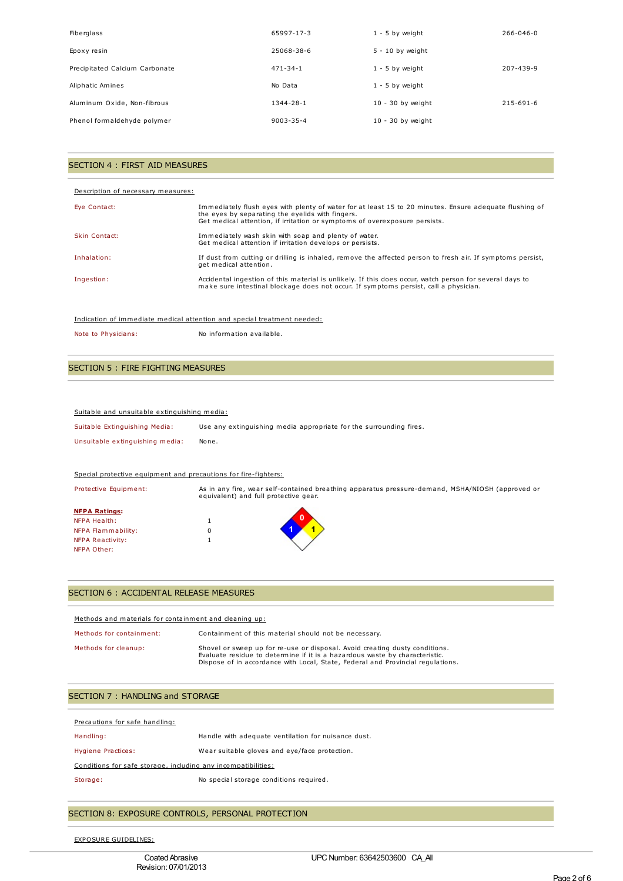| Fiberglass                     | 65997-17-3      | $1 - 5$ by weight   | $266 - 046 - 0$ |
|--------------------------------|-----------------|---------------------|-----------------|
| Epoxy resin                    | 25068-38-6      | $5 - 10$ by weight  |                 |
| Precipitated Calcium Carbonate | $471 - 34 - 1$  | $1 - 5$ by weight   | 207-439-9       |
| Aliphatic Amines               | No Data         | $1 - 5$ by weight   |                 |
| Aluminum Oxide, Non-fibrous    | $1344 - 28 - 1$ | $10 - 30$ by weight | $215 - 691 - 6$ |
| Phenol formaldehyde polymer    | $9003 - 35 - 4$ | $10 - 30$ by weight |                 |

## SECTION 4 : FIRST AID MEASURES

#### Description of necessary measures:

| Eye Contact:  | Immediately flush eyes with plenty of water for at least 15 to 20 minutes. Ensure adequate flushing of<br>the eyes by separating the eyelids with fingers.<br>Get medical attention, if irritation or symptoms of overexposure persists. |
|---------------|------------------------------------------------------------------------------------------------------------------------------------------------------------------------------------------------------------------------------------------|
| Skin Contact: | Immediately wash skin with soap and plenty of water.<br>Get medical attention if irritation develops or persists.                                                                                                                        |
| Inhalation:   | If dust from cutting or drilling is inhaled, remove the affected person to fresh air. If symptoms persist,<br>get medical attention.                                                                                                     |
| Ingestion:    | Accidental ingestion of this material is unlikely. If this does occur, watch person for several days to<br>make sure intestinal blockage does not occur. If symptoms persist, call a physician.                                          |

#### Indication of immediate medical attention and special treatment needed:

|  | Note to Physicians: | No information available. |
|--|---------------------|---------------------------|
|--|---------------------|---------------------------|

## SECTION 5 : FIRE FIGHTING MEASURES

#### Suitable and unsuitable extinguishing media:

| Suitable Extinguishing Media:   | Use any extinguishing media appropriate for the surrounding fires. |
|---------------------------------|--------------------------------------------------------------------|
| Unsuitable extinguishing media: | None.                                                              |

## Special protective equipment and precautions for fire-fighters:

| Protective Equipment: | equivalent) and full protective gear. | As in any fire, wear self-contained breathing apparatus pressure-demand, MSHA/NIOSH (approved or |
|-----------------------|---------------------------------------|--------------------------------------------------------------------------------------------------|
| <b>NFPA Ratings:</b>  |                                       |                                                                                                  |
| <b>NFPA Health:</b>   |                                       |                                                                                                  |
| NFPA Flammability:    |                                       |                                                                                                  |
| NFPA Reactivity:      |                                       |                                                                                                  |
| NFPA Other:           |                                       |                                                                                                  |

## SECTION 6 : ACCIDENTAL RELEASE MEASURES

| Methods and materials for containment and cleaning up: |                                                                                                                                                                                                                                               |
|--------------------------------------------------------|-----------------------------------------------------------------------------------------------------------------------------------------------------------------------------------------------------------------------------------------------|
| Methods for containment:                               | Containment of this material should not be necessary.                                                                                                                                                                                         |
| Methods for cleanup:                                   | Shovel or sweep up for re-use or disposal. Avoid creating dusty conditions.<br>Evaluate residue to determine if it is a hazardous waste by characteristic.<br>Dispose of in accordance with Local, State, Federal and Provincial regulations. |

| SECTION 7: HANDLING and STORAGE |  |  |  |  |
|---------------------------------|--|--|--|--|
|---------------------------------|--|--|--|--|

| Precautions for safe handling:                                |                                                     |
|---------------------------------------------------------------|-----------------------------------------------------|
| Handling:                                                     | Handle with adequate ventilation for nuisance dust. |
| Hygiene Practices:                                            | Wear suitable gloves and eye/face protection.       |
| Conditions for safe storage, including any incompatibilities: |                                                     |
| Storage:                                                      | No special storage conditions required.             |
|                                                               |                                                     |

## SECTION 8: EXPOSURE CONTROLS, PERSONAL PROTECTION

EXPOSURE GUIDELINES: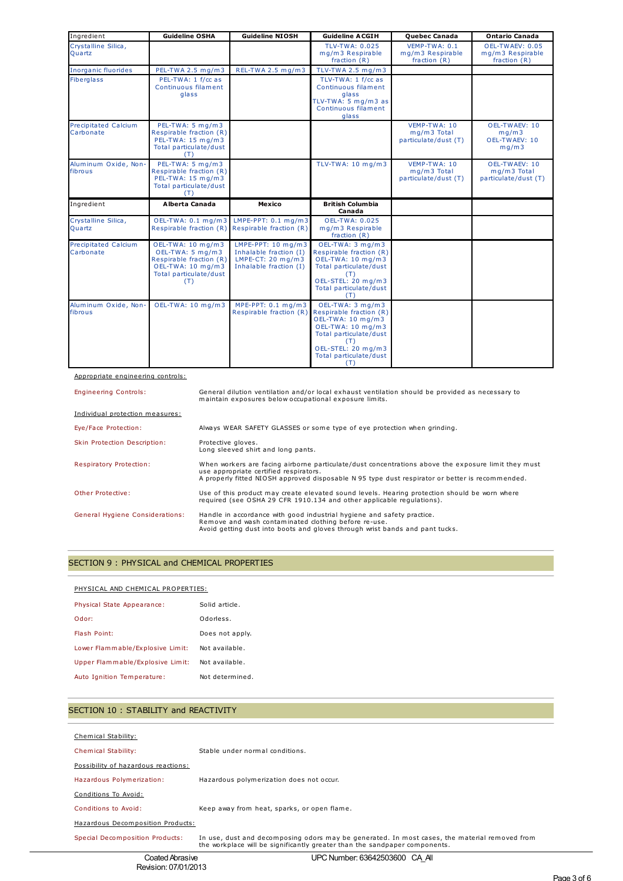| Ingredient                               | <b>Guideline OSHA</b>                                                                                                  | <b>Guideline NIOSH</b>                                                                                 | <b>Guideline ACGIH</b>                                                                                                                                   | Quebec Canada                                       | <b>Ontario Canada</b>                                 |
|------------------------------------------|------------------------------------------------------------------------------------------------------------------------|--------------------------------------------------------------------------------------------------------|----------------------------------------------------------------------------------------------------------------------------------------------------------|-----------------------------------------------------|-------------------------------------------------------|
| Crystalline Silica,<br>Ouartz            |                                                                                                                        |                                                                                                        | <b>TLV-TWA: 0.025</b><br>mg/m3 Respirable<br>fraction $(R)$                                                                                              | VEMP-TWA: 0.1<br>mg/m3 Respirable<br>fraction (R)   | OEL-TWAEV: 0.05<br>mg/m3 Respirable<br>fraction $(R)$ |
| <b>Inorganic fluorides</b>               | PEL-TWA 2.5 mg/m3                                                                                                      | REL-TWA 2.5 mg/m3                                                                                      | TLV-TWA 2.5 $mq/m3$                                                                                                                                      |                                                     |                                                       |
| <b>Fiberglass</b>                        | PEL-TWA: 1 f/cc as<br>Continuous filament<br>glass                                                                     |                                                                                                        | TLV-TWA: 1 f/cc as<br>Continuous filament<br>glass<br>TLV-TWA: 5 mg/m3 as<br>Continuous filament<br>glass                                                |                                                     |                                                       |
| <b>Precipitated Calcium</b><br>Carbonate | PEL-TWA: 5 mg/m3<br>Respirable fraction (R)<br>PEL-TWA: 15 mg/m3<br>Total particulate/dust<br>(T)                      |                                                                                                        |                                                                                                                                                          | VEMP-TWA: 10<br>mg/m3 Total<br>particulate/dust (T) | OEL-TWAEV: 10<br>mq/m3<br>OEL-TWAEV: 10<br>mg/m3      |
| Aluminum Oxide, Non-<br>fibrous          | PEL-TWA: 5 mg/m3<br>Respirable fraction (R)<br>PEL-TWA: 15 mg/m3<br>Total particulate/dust<br>(T)                      |                                                                                                        | TLV-TWA: 10 mg/m3                                                                                                                                        | VEMP-TWA: 10<br>mg/m3 Total<br>particulate/dust (T) | OEL-TWAEV: 10<br>mg/m3 Total<br>particulate/dust (T)  |
| Ingredient                               | Alberta Canada                                                                                                         | Mexico                                                                                                 | <b>British Columbia</b>                                                                                                                                  |                                                     |                                                       |
|                                          |                                                                                                                        |                                                                                                        | Canada                                                                                                                                                   |                                                     |                                                       |
| Crystalline Silica,<br>Quartz            | OEL-TWA: 0.1 mg/m3<br>Respirable fraction (R)                                                                          | LMPE-PPT: $0.1$ mg/m3<br>Respirable fraction (R)                                                       | <b>OEL-TWA: 0.025</b><br>mg/m3 Respirable<br>fraction $(R)$                                                                                              |                                                     |                                                       |
| Precipitated Calcium<br>Carbonate        | OEL-TWA: 10 mg/m3<br>OEL-TWA: 5 mg/m3<br>Respirable fraction (R)<br>OEL-TWA: 10 mg/m3<br>Total particulate/dust<br>(T) | LMPE-PPT: $10 \text{ mg/m}$ 3<br>Inhalable fraction (I)<br>LMPE-CT: 20 mg/m3<br>Inhalable fraction (I) | OEL-TWA: 3 mg/m3<br>Respirable fraction (R)<br>OEL-TWA: 10 mg/m3<br>Total particulate/dust<br>(T)<br>OEL-STEL: 20 mg/m3<br>Total particulate/dust<br>(T) |                                                     |                                                       |

## Appropriate engineering controls:

| <b>Engineering Controls:</b>           | General dilution ventilation and/or local exhaust ventilation should be provided as necessary to<br>maintain exposures below occupational exposure limits.                                                                                       |
|----------------------------------------|--------------------------------------------------------------------------------------------------------------------------------------------------------------------------------------------------------------------------------------------------|
| Individual protection measures:        |                                                                                                                                                                                                                                                  |
| Eye/Face Protection:                   | Always WEAR SAFETY GLASSES or some type of eye protection when grinding.                                                                                                                                                                         |
| Skin Protection Description:           | Protective gloves.<br>Long sleeved shirt and long pants.                                                                                                                                                                                         |
| Respiratory Protection:                | When workers are facing airborne particulate/dust concentrations above the exposure limit they must<br>use appropriate certified respirators.<br>A properly fitted NIOSH approved disposable N 95 type dust respirator or better is recommended. |
| Other Protective:                      | Use of this product may create elevated sound levels. Hearing protection should be worn where<br>required (see OSHA 29 CFR 1910.134 and other applicable requlations).                                                                           |
| <b>General Hygiene Considerations:</b> | Handle in accordance with good industrial hygiene and safety practice.<br>Remove and wash contaminated clothing before re-use.<br>Avoid getting dust into boots and gloves through wrist bands and pant tucks.                                   |

## SECTION 9 : PHYSICAL and CHEMICAL PROPERTIES

## PHYSICAL AND CHEMICAL PROPERTIES:

| Physical State Appearance:       | Solid article.  |
|----------------------------------|-----------------|
| Odor:                            | Odorless.       |
| Flash Point:                     | Does not apply. |
| Lower Flammable/Explosive Limit: | Not available.  |
| Upper Flammable/Explosive Limit: | Not available.  |
| Auto Ignition Temperature:       | Not determined. |

## SECTION 10 : STABILITY and REACTIVITY

| Chemical Stability:                 |                                                                                                                                                                             |
|-------------------------------------|-----------------------------------------------------------------------------------------------------------------------------------------------------------------------------|
|                                     |                                                                                                                                                                             |
| Chemical Stability:                 | Stable under normal conditions.                                                                                                                                             |
| Possibility of hazardous reactions: |                                                                                                                                                                             |
| Hazardous Polymerization:           | Hazardous polymerization does not occur.                                                                                                                                    |
| Conditions To Avoid:                |                                                                                                                                                                             |
| Conditions to Avoid:                | Keep away from heat, sparks, or open flame.                                                                                                                                 |
| Hazardous Decomposition Products:   |                                                                                                                                                                             |
| Special Decomposition Products:     | In use, dust and decomposing odors may be generated. In most cases, the material removed from<br>the workplace will be significantly greater than the sandpaper components. |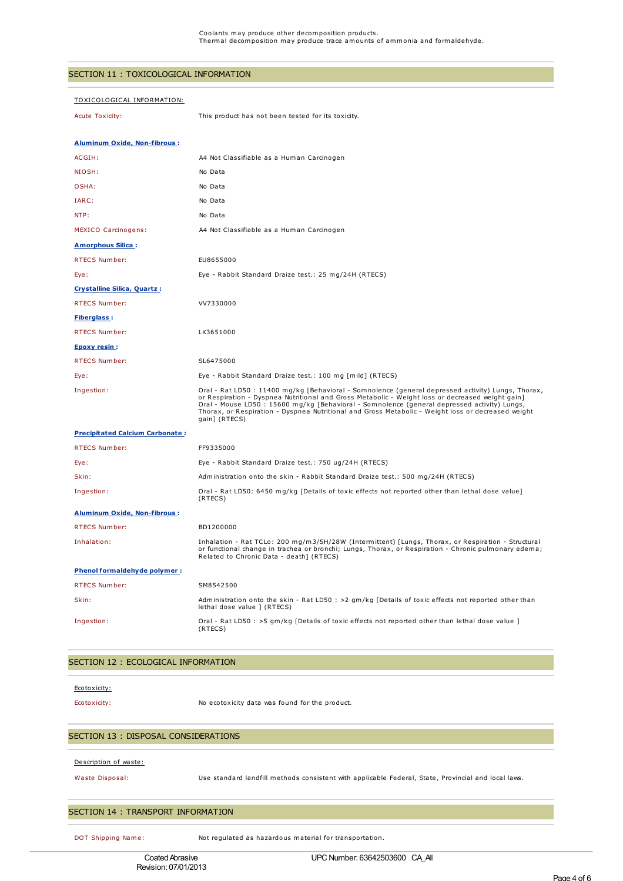## SECTION 11 : TOXICOLOGICAL INFORMATION

| <u> TOXICOLOGICAL INFORMATION:</u>     |                                                                                                                                                                                                                                                                                                                                                                                                                               |
|----------------------------------------|-------------------------------------------------------------------------------------------------------------------------------------------------------------------------------------------------------------------------------------------------------------------------------------------------------------------------------------------------------------------------------------------------------------------------------|
| Acute Toxicity:                        | This product has not been tested for its toxicity.                                                                                                                                                                                                                                                                                                                                                                            |
|                                        |                                                                                                                                                                                                                                                                                                                                                                                                                               |
| <b>Aluminum Oxide, Non-fibrous:</b>    |                                                                                                                                                                                                                                                                                                                                                                                                                               |
| ACGIH:                                 | A4 Not Classifiable as a Human Carcinogen                                                                                                                                                                                                                                                                                                                                                                                     |
| NIOSH:                                 | No Data                                                                                                                                                                                                                                                                                                                                                                                                                       |
| OSHA:                                  | No Data                                                                                                                                                                                                                                                                                                                                                                                                                       |
| IARC:                                  | No Data                                                                                                                                                                                                                                                                                                                                                                                                                       |
| NTP:                                   | No Data                                                                                                                                                                                                                                                                                                                                                                                                                       |
| <b>MEXICO Carcinogens:</b>             | A4 Not Classifiable as a Human Carcinogen                                                                                                                                                                                                                                                                                                                                                                                     |
| <b>Amorphous Silica:</b>               |                                                                                                                                                                                                                                                                                                                                                                                                                               |
| <b>RTECS Number:</b>                   | EU8655000                                                                                                                                                                                                                                                                                                                                                                                                                     |
| Eye:                                   | Eye - Rabbit Standard Draize test.: 25 mg/24H (RTECS)                                                                                                                                                                                                                                                                                                                                                                         |
| <b>Crystalline Silica, Quartz:</b>     |                                                                                                                                                                                                                                                                                                                                                                                                                               |
| <b>RTECS Number:</b>                   | VV7330000                                                                                                                                                                                                                                                                                                                                                                                                                     |
| <b>Fiberglass:</b>                     |                                                                                                                                                                                                                                                                                                                                                                                                                               |
| RTECS Number:                          | LK3651000                                                                                                                                                                                                                                                                                                                                                                                                                     |
| <b>Epoxy resin:</b>                    |                                                                                                                                                                                                                                                                                                                                                                                                                               |
| <b>RTECS Number:</b>                   | SL6475000                                                                                                                                                                                                                                                                                                                                                                                                                     |
| Eye:                                   | Eye - Rabbit Standard Draize test.: 100 mg [mild] (RTECS)                                                                                                                                                                                                                                                                                                                                                                     |
| Ingestion:                             | Oral - Rat LD50 : 11400 mg/kg [Behavioral - Somnolence (general depressed activity) Lungs, Thorax,<br>or Respiration - Dyspnea Nutritional and Gross Metabolic - Weight loss or decreased weight gain]<br>Oral - Mouse LD50 : 15600 mg/kg [Behavioral - Somnolence (general depressed activity) Lungs,<br>Thorax, or Respiration - Dyspnea Nutritional and Gross Metabolic - Weight loss or decreased weight<br>gain] (RTECS) |
| <b>Precipitated Calcium Carbonate:</b> |                                                                                                                                                                                                                                                                                                                                                                                                                               |
| <b>RTECS Number:</b>                   | FF9335000                                                                                                                                                                                                                                                                                                                                                                                                                     |
| Eye:                                   | Eye - Rabbit Standard Draize test.: 750 ug/24H (RTECS)                                                                                                                                                                                                                                                                                                                                                                        |
| Skin:                                  | Administration onto the skin - Rabbit Standard Draize test.: 500 mg/24H (RTECS)                                                                                                                                                                                                                                                                                                                                               |
| Ingestion:                             | Oral - Rat LD50: 6450 mg/kg [Details of toxic effects not reported other than lethal dose value]<br>(RTECS)                                                                                                                                                                                                                                                                                                                   |
| <b>Aluminum Oxide, Non-fibrous:</b>    |                                                                                                                                                                                                                                                                                                                                                                                                                               |
| RTECS Number:                          | BD1200000                                                                                                                                                                                                                                                                                                                                                                                                                     |
| Inhalation:                            | Inhalation - Rat TCLo: 200 mg/m3/5H/28W (Intermittent) [Lungs, Thorax, or Respiration - Structural<br>or functional change in trachea or bronchi; Lungs, Thorax, or Respiration - Chronic pulmonary edema;<br>Related to Chronic Data - death] (RTECS)                                                                                                                                                                        |
| <b>Phenol formaldehyde polymer:</b>    |                                                                                                                                                                                                                                                                                                                                                                                                                               |
| RTECS Number:                          | SM8542500                                                                                                                                                                                                                                                                                                                                                                                                                     |
| Skin:                                  | Administration onto the skin - Rat LD50 : >2 gm/kg [Details of toxic effects not reported other than<br>lethal dose value ] (RTECS)                                                                                                                                                                                                                                                                                           |
| Ingestion:                             | Oral - Rat LD50 : >5 gm/kg [Details of toxic effects not reported other than lethal dose value ]<br>(RTECS)                                                                                                                                                                                                                                                                                                                   |

## SECTION 12 : ECOLOGICAL INFORMATION

#### Ecotoxicity:

Ecotoxicity: No ecotoxicity data was found for the product.

#### SECTION 13 : DISPOSAL CONSIDERATIONS

#### Description of waste:

Waste Disposal: Use standard landfill methods consistent with applicable Federal, State, Provincial and local laws.

## SECTION 14 : TRANSPORT INFORMATION

DOT Shipping Name: Not regulated as hazardous material for transportation.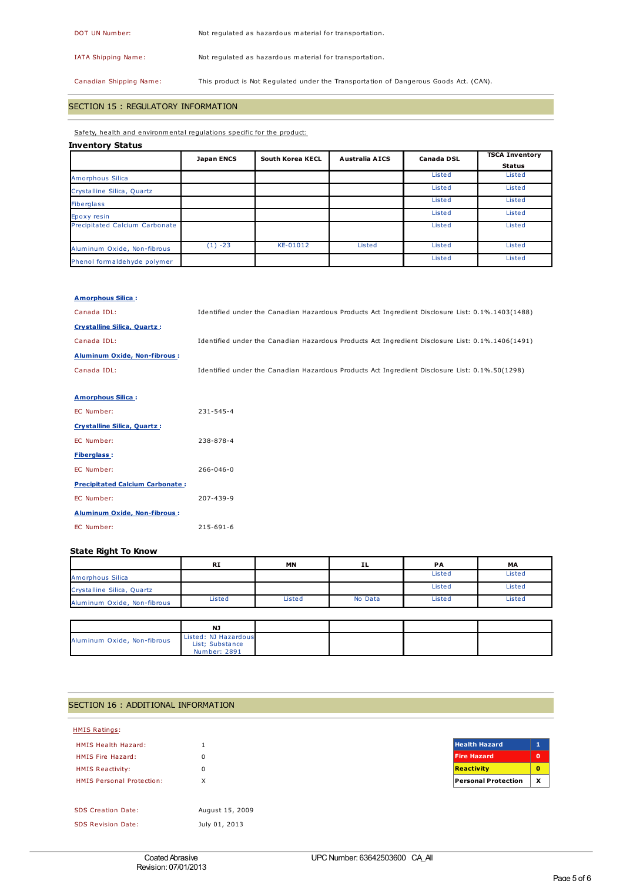DOT UN Number: Not regulated as hazardous material for transportation.

IATA Shipping Name: Not regulated as hazardous material for transportation.

Canadian Shipping Name: This product is Not Regulated under the Transportation of Dangerous Goods Act. (CAN).

## SECTION 15 : REGULATORY INFORMATION

Safety, health and environmental regulations specific for the product:

## **Inventory Status**

|                                | <b>Japan ENCS</b> | <b>South Korea KECL</b> | <b>Australia AICS</b> | <b>Canada DSL</b> | <b>TSCA Inventory</b> |
|--------------------------------|-------------------|-------------------------|-----------------------|-------------------|-----------------------|
|                                |                   |                         |                       |                   | <b>Status</b>         |
| Amorphous Silica               |                   |                         |                       | Listed            | Listed                |
| Crystalline Silica, Quartz     |                   |                         |                       | Listed            | Listed                |
| <b>Fiberglass</b>              |                   |                         |                       | Listed            | Listed                |
| Epoxy resin                    |                   |                         |                       | Listed            | Listed                |
| Precipitated Calcium Carbonate |                   |                         |                       | Listed            | Listed                |
| Aluminum Oxide, Non-fibrous    | $(1) -23$         | KE-01012                | Listed                | Listed            | Listed                |
| Phenol formaldehyde polymer    |                   |                         |                       | Listed            | Listed                |

#### **Amorphous Silica :**

| Canada IDL:                            | Identified under the Canadian Hazardous Products Act Ingredient Disclosure List: 0.1%.1403(1488) |
|----------------------------------------|--------------------------------------------------------------------------------------------------|
| <b>Crystalline Silica, Quartz:</b>     |                                                                                                  |
| Canada IDL:                            | Identified under the Canadian Hazardous Products Act Ingredient Disclosure List: 0.1%.1406(1491) |
| <b>Aluminum Oxide, Non-fibrous:</b>    |                                                                                                  |
| Canada IDL:                            | Identified under the Canadian Hazardous Products Act Ingredient Disclosure List: 0.1%.50(1298)   |
|                                        |                                                                                                  |
| <b>Amorphous Silica:</b>               |                                                                                                  |
| EC Number:                             | $231 - 545 - 4$                                                                                  |
| <b>Crystalline Silica, Quartz:</b>     |                                                                                                  |
| EC Number:                             | 238-878-4                                                                                        |
| <b>Fiberglass:</b>                     |                                                                                                  |
| EC Number:                             | $266 - 046 - 0$                                                                                  |
| <b>Precipitated Calcium Carbonate:</b> |                                                                                                  |
| EC Number:                             | 207-439-9                                                                                        |
| <b>Aluminum Oxide, Non-fibrous:</b>    |                                                                                                  |
| EC Number:                             | $215 - 691 - 6$                                                                                  |

## **State Right To Know**

|                             | <b>RI</b> | MN     | ΙL      | PА     | MA     |
|-----------------------------|-----------|--------|---------|--------|--------|
| Amorphous Silica            |           |        |         | Listed | Listed |
| Crystalline Silica, Quartz  |           |        |         | Listed | Listed |
| Aluminum Oxide, Non-fibrous | Listed    | Listed | No Data | Listed | Listed |

|                             | NJ                                      |  |  |
|-----------------------------|-----------------------------------------|--|--|
| Aluminum Oxide, Non-fibrous | Listed: NJ Hazardous<br>List: Substance |  |  |
|                             | Number: 2891                            |  |  |

## SECTION 16 : ADDITIONAL INFORMATION

| <b>HMIS Ratings:</b>             |                 |                            |                           |
|----------------------------------|-----------------|----------------------------|---------------------------|
| <b>HMIS Health Hazard:</b>       |                 | <b>Health Hazard</b>       | ×<br>ш                    |
| HMIS Fire Hazard:                | 0               | <b>Fire Hazard</b>         | $\mathbf o$               |
| <b>HMIS Reactivity:</b>          | 0               | <b>Reactivity</b>          | $\mathbf{0}$              |
| <b>HMIS Personal Protection:</b> | X               | <b>Personal Protection</b> | $\boldsymbol{\mathsf{x}}$ |
|                                  |                 |                            |                           |
| <b>SDS Creation Date:</b>        | August 15, 2009 |                            |                           |
| <b>SDS Revision Date:</b>        | July 01, 2013   |                            |                           |